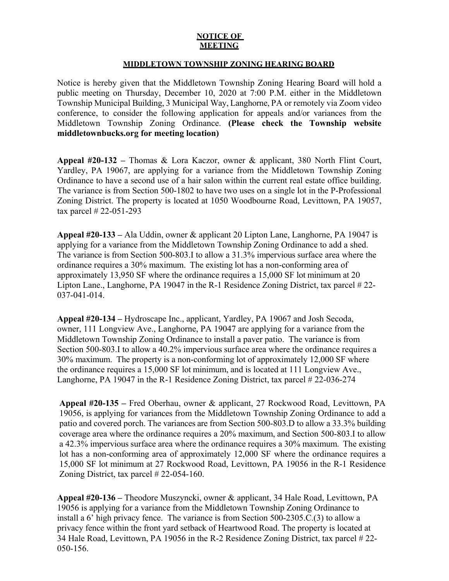## **NOTICE OF MEETING**

## **MIDDLETOWN TOWNSHIP ZONING HEARING BOARD**

Notice is hereby given that the Middletown Township Zoning Hearing Board will hold a public meeting on Thursday, December 10, 2020 at 7:00 P.M. either in the Middletown Township Municipal Building, 3 Municipal Way, Langhorne, PA or remotely via Zoom video conference, to consider the following application for appeals and/or variances from the Middletown Township Zoning Ordinance. **(Please check the Township website middletownbucks.org for meeting location)** 

**Appeal #20-132 –** Thomas & Lora Kaczor, owner & applicant, 380 North Flint Court, Yardley, PA 19067, are applying for a variance from the Middletown Township Zoning Ordinance to have a second use of a hair salon within the current real estate office building. The variance is from Section 500-1802 to have two uses on a single lot in the P-Professional Zoning District. The property is located at 1050 Woodbourne Road, Levittown, PA 19057, tax parcel # 22-051-293

**Appeal #20-133 –** Ala Uddin, owner & applicant 20 Lipton Lane, Langhorne, PA 19047 is applying for a variance from the Middletown Township Zoning Ordinance to add a shed. The variance is from Section 500-803.I to allow a 31.3% impervious surface area where the ordinance requires a 30% maximum. The existing lot has a non-conforming area of approximately 13,950 SF where the ordinance requires a 15,000 SF lot minimum at 20 Lipton Lane., Langhorne, PA 19047 in the R-1 Residence Zoning District, tax parcel # 22- 037-041-014.

**Appeal #20-134 –** Hydroscape Inc., applicant, Yardley, PA 19067 and Josh Secoda, owner, 111 Longview Ave., Langhorne, PA 19047 are applying for a variance from the Middletown Township Zoning Ordinance to install a paver patio. The variance is from Section 500-803.I to allow a 40.2% impervious surface area where the ordinance requires a 30% maximum. The property is a non-conforming lot of approximately 12,000 SF where the ordinance requires a 15,000 SF lot minimum, and is located at 111 Longview Ave., Langhorne, PA 19047 in the R-1 Residence Zoning District, tax parcel # 22-036-274

**Appeal #20-135 –** Fred Oberhau, owner & applicant, 27 Rockwood Road, Levittown, PA 19056, is applying for variances from the Middletown Township Zoning Ordinance to add a patio and covered porch. The variances are from Section 500-803.D to allow a 33.3% building coverage area where the ordinance requires a 20% maximum, and Section 500-803.I to allow a 42.3% impervious surface area where the ordinance requires a 30% maximum. The existing lot has a non-conforming area of approximately 12,000 SF where the ordinance requires a 15,000 SF lot minimum at 27 Rockwood Road, Levittown, PA 19056 in the R-1 Residence Zoning District, tax parcel # 22-054-160.

**Appeal #20-136 –** Theodore Muszyncki, owner & applicant, 34 Hale Road, Levittown, PA 19056 is applying for a variance from the Middletown Township Zoning Ordinance to install a 6' high privacy fence. The variance is from Section 500-2305.C.(3) to allow a privacy fence within the front yard setback of Heartwood Road. The property is located at 34 Hale Road, Levittown, PA 19056 in the R-2 Residence Zoning District, tax parcel # 22- 050-156.